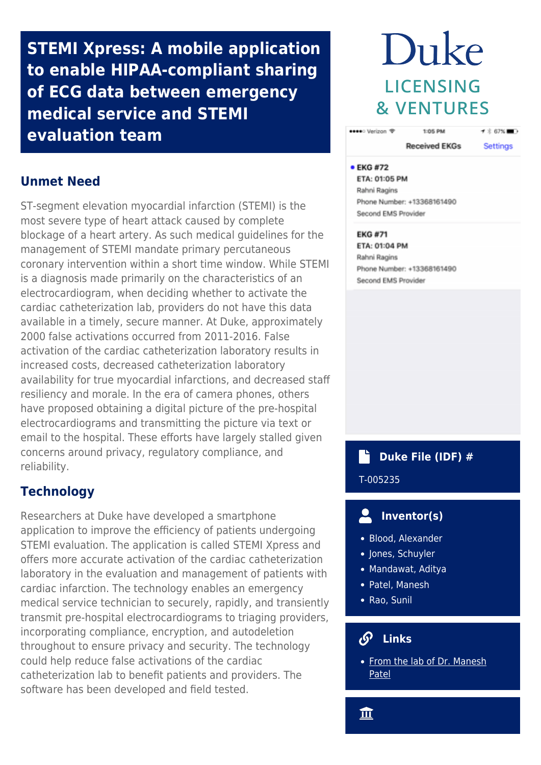**STEMI Xpress: A mobile application to enable HIPAA-compliant sharing of ECG data between emergency medical service and STEMI evaluation team**

# **Unmet Need**

ST-segment elevation myocardial infarction (STEMI) is the most severe type of heart attack caused by complete blockage of a heart artery. As such medical guidelines for the management of STEMI mandate primary percutaneous coronary intervention within a short time window. While STEMI is a diagnosis made primarily on the characteristics of an electrocardiogram, when deciding whether to activate the cardiac catheterization lab, providers do not have this data available in a timely, secure manner. At Duke, approximately 2000 false activations occurred from 2011-2016. False activation of the cardiac catheterization laboratory results in increased costs, decreased catheterization laboratory availability for true myocardial infarctions, and decreased staff resiliency and morale. In the era of camera phones, others have proposed obtaining a digital picture of the pre-hospital electrocardiograms and transmitting the picture via text or email to the hospital. These efforts have largely stalled given concerns around privacy, regulatory compliance, and reliability.

# **Technology**

Researchers at Duke have developed a smartphone application to improve the efficiency of patients undergoing STEMI evaluation. The application is called STEMI Xpress and offers more accurate activation of the cardiac catheterization laboratory in the evaluation and management of patients with cardiac infarction. The technology enables an emergency medical service technician to securely, rapidly, and transiently transmit pre-hospital electrocardiograms to triaging providers, incorporating compliance, encryption, and autodeletion throughout to ensure privacy and security. The technology could help reduce false activations of the cardiac catheterization lab to benefit patients and providers. The software has been developed and field tested.

# Duke LICENSING **& VENTURES**

1:05 PM

●●●●●○ Verizon <sup>®</sup>

**Received EKGs Settings** 

 $\tau \stackrel{+}{\mathbf{0}}$  67%

### • EKG #72

ETA: 01:05 PM Rahni Ragins Phone Number: +13368161490 Second EMS Provider

## **EKG #71**

ETA: 01:04 PM Rahni Ragins Phone Number: +13368161490 Second EMS Provider

## **Duke File (IDF) #** Ľ T-005235

#### $\overline{\mathbf{C}}$  **Inventor(s)**

- Blood, Alexander
- Jones, Schuyler
- Mandawat, Aditya
- Patel, Manesh
- Rao, Sunil

## **Links**

• [From the lab of Dr. Manesh](https://scholars.duke.edu/person/manesh.patel#show%20less%20content) [Patel](https://scholars.duke.edu/person/manesh.patel#show%20less%20content)

血